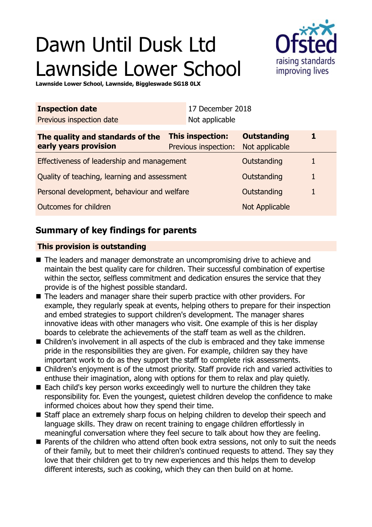# Dawn Until Dusk Ltd Lawnside Lower School



**Lawnside Lower School, Lawnside, Biggleswade SG18 0LX**

| <b>Inspection date</b>                                    |                                                 | 17 December 2018 |                                      |              |
|-----------------------------------------------------------|-------------------------------------------------|------------------|--------------------------------------|--------------|
| Previous inspection date                                  |                                                 | Not applicable   |                                      |              |
| The quality and standards of the<br>early years provision | <b>This inspection:</b><br>Previous inspection: |                  | <b>Outstanding</b><br>Not applicable |              |
| Effectiveness of leadership and management                |                                                 |                  | Outstanding                          | 1            |
| Quality of teaching, learning and assessment              |                                                 |                  | Outstanding                          | $\mathbf{1}$ |
| Personal development, behaviour and welfare               |                                                 |                  | Outstanding                          | 1            |
| Outcomes for children                                     |                                                 |                  | Not Applicable                       |              |

# **Summary of key findings for parents**

## **This provision is outstanding**

- $\blacksquare$  The leaders and manager demonstrate an uncompromising drive to achieve and maintain the best quality care for children. Their successful combination of expertise within the sector, selfless commitment and dedication ensures the service that they provide is of the highest possible standard.
- $\blacksquare$  The leaders and manager share their superb practice with other providers. For example, they regularly speak at events, helping others to prepare for their inspection and embed strategies to support children's development. The manager shares innovative ideas with other managers who visit. One example of this is her display boards to celebrate the achievements of the staff team as well as the children.
- $\blacksquare$  Children's involvement in all aspects of the club is embraced and they take immense pride in the responsibilities they are given. For example, children say they have important work to do as they support the staff to complete risk assessments.
- Children's enjoyment is of the utmost priority. Staff provide rich and varied activities to enthuse their imagination, along with options for them to relax and play quietly.
- $\blacksquare$  Each child's key person works exceedingly well to nurture the children they take responsibility for. Even the youngest, quietest children develop the confidence to make informed choices about how they spend their time.
- Staff place an extremely sharp focus on helping children to develop their speech and language skills. They draw on recent training to engage children effortlessly in meaningful conversation where they feel secure to talk about how they are feeling.
- Parents of the children who attend often book extra sessions, not only to suit the needs of their family, but to meet their children's continued requests to attend. They say they love that their children get to try new experiences and this helps them to develop different interests, such as cooking, which they can then build on at home.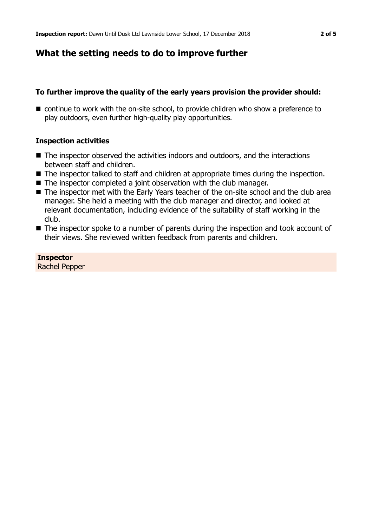# **What the setting needs to do to improve further**

## **To further improve the quality of the early years provision the provider should:**

 $\blacksquare$  continue to work with the on-site school, to provide children who show a preference to play outdoors, even further high-quality play opportunities.

## **Inspection activities**

- $\blacksquare$  The inspector observed the activities indoors and outdoors, and the interactions between staff and children.
- The inspector talked to staff and children at appropriate times during the inspection.
- $\blacksquare$  The inspector completed a joint observation with the club manager.
- The inspector met with the Early Years teacher of the on-site school and the club area manager. She held a meeting with the club manager and director, and looked at relevant documentation, including evidence of the suitability of staff working in the club.
- The inspector spoke to a number of parents during the inspection and took account of their views. She reviewed written feedback from parents and children.

#### **Inspector** Rachel Pepper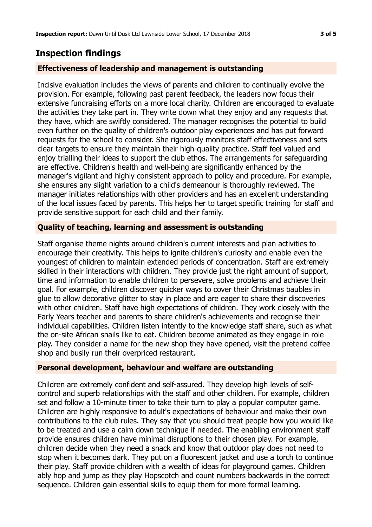# **Inspection findings**

## **Effectiveness of leadership and management is outstanding**

Incisive evaluation includes the views of parents and children to continually evolve the provision. For example, following past parent feedback, the leaders now focus their extensive fundraising efforts on a more local charity. Children are encouraged to evaluate the activities they take part in. They write down what they enjoy and any requests that they have, which are swiftly considered. The manager recognises the potential to build even further on the quality of children's outdoor play experiences and has put forward requests for the school to consider. She rigorously monitors staff effectiveness and sets clear targets to ensure they maintain their high-quality practice. Staff feel valued and enjoy trialling their ideas to support the club ethos. The arrangements for safeguarding are effective. Children's health and well-being are significantly enhanced by the manager's vigilant and highly consistent approach to policy and procedure. For example, she ensures any slight variation to a child's demeanour is thoroughly reviewed. The manager initiates relationships with other providers and has an excellent understanding of the local issues faced by parents. This helps her to target specific training for staff and provide sensitive support for each child and their family.

## **Quality of teaching, learning and assessment is outstanding**

Staff organise theme nights around children's current interests and plan activities to encourage their creativity. This helps to ignite children's curiosity and enable even the youngest of children to maintain extended periods of concentration. Staff are extremely skilled in their interactions with children. They provide just the right amount of support, time and information to enable children to persevere, solve problems and achieve their goal. For example, children discover quicker ways to cover their Christmas baubles in glue to allow decorative glitter to stay in place and are eager to share their discoveries with other children. Staff have high expectations of children. They work closely with the Early Years teacher and parents to share children's achievements and recognise their individual capabilities. Children listen intently to the knowledge staff share, such as what the on-site African snails like to eat. Children become animated as they engage in role play. They consider a name for the new shop they have opened, visit the pretend coffee shop and busily run their overpriced restaurant.

#### **Personal development, behaviour and welfare are outstanding**

Children are extremely confident and self-assured. They develop high levels of selfcontrol and superb relationships with the staff and other children. For example, children set and follow a 10-minute timer to take their turn to play a popular computer game. Children are highly responsive to adult's expectations of behaviour and make their own contributions to the club rules. They say that you should treat people how you would like to be treated and use a calm down technique if needed. The enabling environment staff provide ensures children have minimal disruptions to their chosen play. For example, children decide when they need a snack and know that outdoor play does not need to stop when it becomes dark. They put on a fluorescent jacket and use a torch to continue their play. Staff provide children with a wealth of ideas for playground games. Children ably hop and jump as they play Hopscotch and count numbers backwards in the correct sequence. Children gain essential skills to equip them for more formal learning.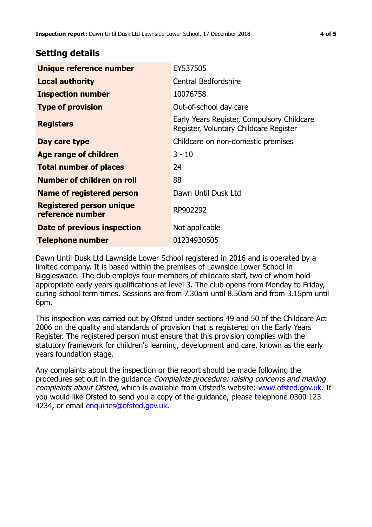# **Setting details**

| Unique reference number                             | EY537505                                                                             |  |
|-----------------------------------------------------|--------------------------------------------------------------------------------------|--|
| <b>Local authority</b>                              | <b>Central Bedfordshire</b>                                                          |  |
| <b>Inspection number</b>                            | 10076758                                                                             |  |
| <b>Type of provision</b>                            | Out-of-school day care                                                               |  |
| <b>Registers</b>                                    | Early Years Register, Compulsory Childcare<br>Register, Voluntary Childcare Register |  |
| Day care type                                       | Childcare on non-domestic premises                                                   |  |
| Age range of children                               | $3 - 10$                                                                             |  |
| <b>Total number of places</b>                       | 24                                                                                   |  |
| Number of children on roll                          | 88                                                                                   |  |
| Name of registered person                           | Dawn Until Dusk Ltd                                                                  |  |
| <b>Registered person unique</b><br>reference number | RP902292                                                                             |  |
| Date of previous inspection                         | Not applicable                                                                       |  |
| <b>Telephone number</b>                             | 01234930505                                                                          |  |

Dawn Until Dusk Ltd Lawnside Lower School registered in 2016 and is operated by a limited company. It is based within the premises of Lawnside Lower School in Biggleswade. The club employs four members of childcare staff, two of whom hold appropriate early years qualifications at level 3. The club opens from Monday to Friday, during school term times. Sessions are from 7.30am until 8.50am and from 3.15pm until 6pm.

This inspection was carried out by Ofsted under sections 49 and 50 of the Childcare Act 2006 on the quality and standards of provision that is registered on the Early Years Register. The registered person must ensure that this provision complies with the statutory framework for children's learning, development and care, known as the early years foundation stage.

Any complaints about the inspection or the report should be made following the procedures set out in the guidance Complaints procedure: raising concerns and making complaints about Ofsted, which is available from Ofsted's website: www.ofsted.gov.uk. If you would like Ofsted to send you a copy of the guidance, please telephone 0300 123 4234, or email [enquiries@ofsted.gov.uk.](mailto:enquiries@ofsted.gov.uk)